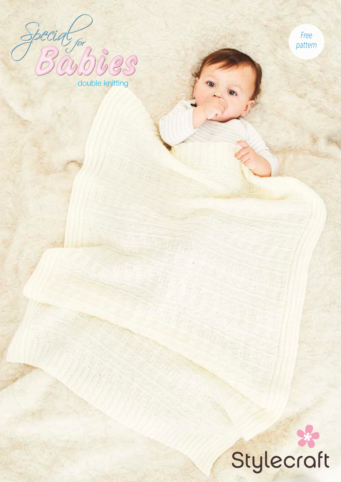for bigs double knitting

*Free pattern*

# Stylecraft